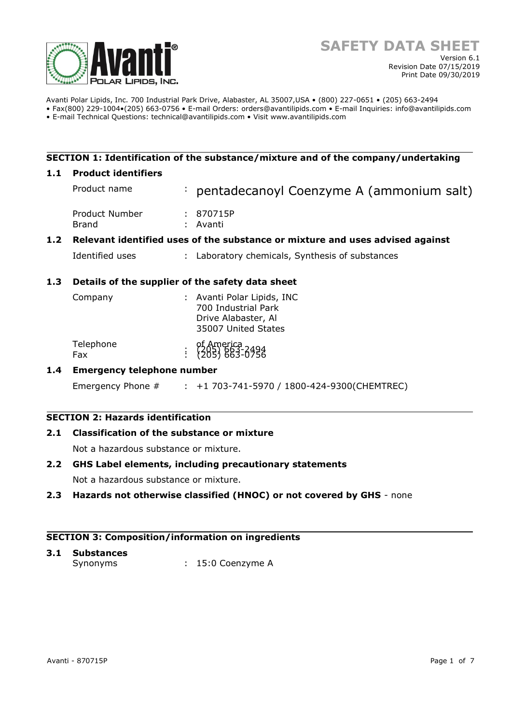

Avanti Polar Lipids, Inc. 700 Industrial Park Drive, Alabaster, AL 35007,USA • (800) 227-0651 • (205) 663-2494 • Fax(800) 229-1004•(205) 663-0756 • E-mail Orders: orders@avantilipids.com • E-mail Inquiries: info@avantilipids.com

• E-mail Technical Questions: technical@avantilipids.com • Visit www.avantilipids.com

# **SECTION 1: Identification of the substance/mixture and of the company/undertaking**

# **1.1 Product identifiers**

|     | Product name                                                                  |  | : pentadecanoyl Coenzyme A (ammonium salt)    |  |  |  |
|-----|-------------------------------------------------------------------------------|--|-----------------------------------------------|--|--|--|
|     | Product Number<br><b>Brand</b>                                                |  | : 870715P<br>: Avanti                         |  |  |  |
| 1.2 | Relevant identified uses of the substance or mixture and uses advised against |  |                                               |  |  |  |
|     | Identified uses                                                               |  | Laboratory chemicals, Synthesis of substances |  |  |  |

# **1.3 Details of the supplier of the safety data sheet**

| Company          | : Avanti Polar Lipids, INC<br>700 Industrial Park<br>Drive Alabaster, Al<br>35007 United States |
|------------------|-------------------------------------------------------------------------------------------------|
| Telephone<br>Fax | of America<br>: {205} 663-0756                                                                  |

# **1.4 Emergency telephone number**

Emergency Phone # : +1 703-741-5970 / 1800-424-9300(CHEMTREC)

# **SECTION 2: Hazards identification**

# **2.1 Classification of the substance or mixture**

Not a hazardous substance or mixture.

# **2.2 GHS Label elements, including precautionary statements**

Not a hazardous substance or mixture.

# **2.3 Hazards not otherwise classified (HNOC) or not covered by GHS** - none

#### **SECTION 3: Composition/information on ingredients**

# **3.1 Substances**

Synonyms : 15:0 Coenzyme A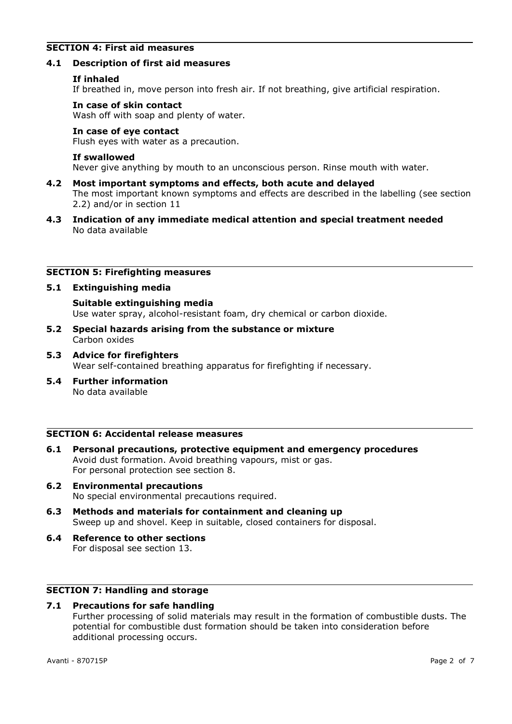# **SECTION 4: First aid measures**

#### **4.1 Description of first aid measures**

#### **If inhaled**

If breathed in, move person into fresh air. If not breathing, give artificial respiration.

#### **In case of skin contact**

Wash off with soap and plenty of water.

# **In case of eye contact**

Flush eyes with water as a precaution.

#### **If swallowed**

Never give anything by mouth to an unconscious person. Rinse mouth with water.

- **4.2 Most important symptoms and effects, both acute and delayed** The most important known symptoms and effects are described in the labelling (see section 2.2) and/or in section 11
- **4.3 Indication of any immediate medical attention and special treatment needed** No data available

# **SECTION 5: Firefighting measures**

# **5.1 Extinguishing media**

**Suitable extinguishing media** Use water spray, alcohol-resistant foam, dry chemical or carbon dioxide.

- **5.2 Special hazards arising from the substance or mixture** Carbon oxides
- **5.3 Advice for firefighters** Wear self-contained breathing apparatus for firefighting if necessary.
- **5.4 Further information** No data available

# **SECTION 6: Accidental release measures**

- **6.1 Personal precautions, protective equipment and emergency procedures** Avoid dust formation. Avoid breathing vapours, mist or gas. For personal protection see section 8.
- **6.2 Environmental precautions** No special environmental precautions required.
- **6.3 Methods and materials for containment and cleaning up** Sweep up and shovel. Keep in suitable, closed containers for disposal.
- **6.4 Reference to other sections** For disposal see section 13.

# **SECTION 7: Handling and storage**

# **7.1 Precautions for safe handling**

Further processing of solid materials may result in the formation of combustible dusts. The potential for combustible dust formation should be taken into consideration before additional processing occurs.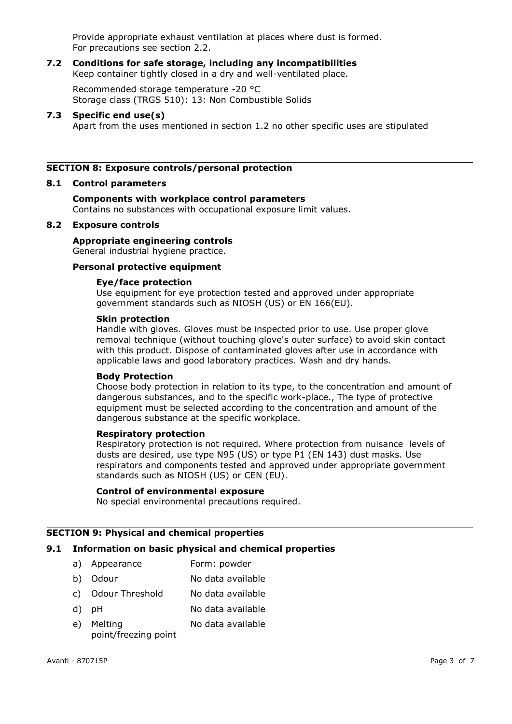Provide appropriate exhaust ventilation at places where dust is formed. For precautions see section 2.2.

#### **7.2 Conditions for safe storage, including any incompatibilities** Keep container tightly closed in a dry and well-ventilated place.

Recommended storage temperature -20 °C Storage class (TRGS 510): 13: Non Combustible Solids

# **7.3 Specific end use(s)**

Apart from the uses mentioned in section 1.2 no other specific uses are stipulated

# **SECTION 8: Exposure controls/personal protection**

#### **8.1 Control parameters**

# **Components with workplace control parameters**

Contains no substances with occupational exposure limit values.

# **8.2 Exposure controls**

# **Appropriate engineering controls**

General industrial hygiene practice.

# **Personal protective equipment**

# **Eye/face protection**

Use equipment for eye protection tested and approved under appropriate government standards such as NIOSH (US) or EN 166(EU).

#### **Skin protection**

Handle with gloves. Gloves must be inspected prior to use. Use proper glove removal technique (without touching glove's outer surface) to avoid skin contact with this product. Dispose of contaminated gloves after use in accordance with applicable laws and good laboratory practices. Wash and dry hands.

#### **Body Protection**

Choose body protection in relation to its type, to the concentration and amount of dangerous substances, and to the specific work-place., The type of protective equipment must be selected according to the concentration and amount of the dangerous substance at the specific workplace.

#### **Respiratory protection**

Respiratory protection is not required. Where protection from nuisance levels of dusts are desired, use type N95 (US) or type P1 (EN 143) dust masks. Use respirators and components tested and approved under appropriate government standards such as NIOSH (US) or CEN (EU).

#### **Control of environmental exposure**

No special environmental precautions required.

# **SECTION 9: Physical and chemical properties**

# **9.1 Information on basic physical and chemical properties**

- a) Appearance Form: powder
- b) Odour No data available
- c) Odour Threshold No data available
- d) pH No data available
- e) Melting point/freezing point No data available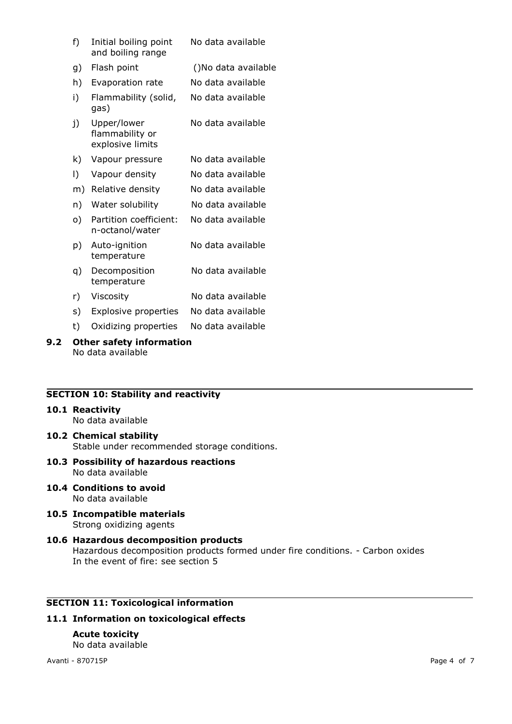| f)         | Initial boiling point<br>and boiling range | No data available |
|------------|--------------------------------------------|-------------------|
| $\sqrt{ }$ |                                            | $\sqrt{2}$        |

- g) Flash point ()No data available
- h) Evaporation rate No data available
- i) Flammability (solid, gas) No data available
- j) Upper/lower flammability or explosive limits No data available
- k) Vapour pressure No data available
- l) Vapour density No data available
- m) Relative density No data available
- n) Water solubility Mo data available
- o) Partition coefficient: n-octanol/water No data available
- p) Auto-ignition temperature No data available
- q) Decomposition temperature No data available
- r) Viscosity No data available
- s) Explosive properties No data available
- t) Oxidizing properties No data available

#### **9.2 Other safety information** No data available

# **SECTION 10: Stability and reactivity**

#### **10.1 Reactivity**

No data available

- **10.2 Chemical stability** Stable under recommended storage conditions.
- **10.3 Possibility of hazardous reactions** No data available
- **10.4 Conditions to avoid** No data available
- **10.5 Incompatible materials** Strong oxidizing agents

# **10.6 Hazardous decomposition products** Hazardous decomposition products formed under fire conditions. - Carbon oxides In the event of fire: see section 5

# **SECTION 11: Toxicological information**

# **11.1 Information on toxicological effects**

#### **Acute toxicity** No data available

Avanti - 870715P Page 4 of 7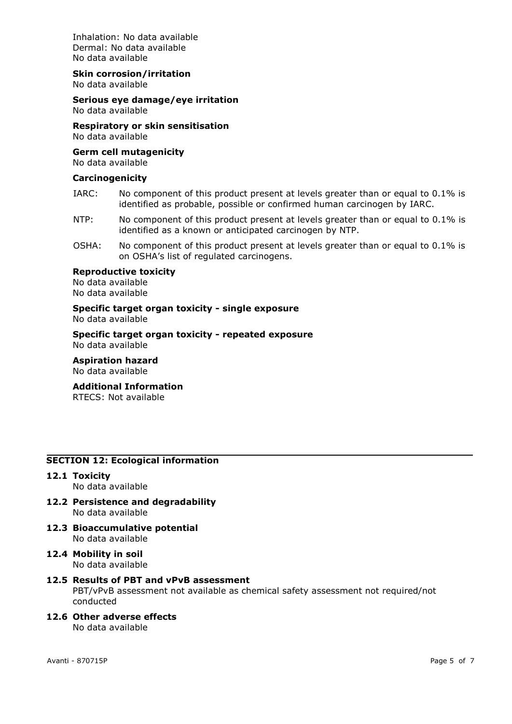Inhalation: No data available Dermal: No data available No data available

# **Skin corrosion/irritation**

No data available

# **Serious eye damage/eye irritation**

No data available

**Respiratory or skin sensitisation** No data available

#### **Germ cell mutagenicity** No data available

# **Carcinogenicity**

- IARC: No component of this product present at levels greater than or equal to 0.1% is identified as probable, possible or confirmed human carcinogen by IARC.
- NTP: No component of this product present at levels greater than or equal to 0.1% is identified as a known or anticipated carcinogen by NTP.
- OSHA: No component of this product present at levels greater than or equal to 0.1% is on OSHA's list of regulated carcinogens.

#### **Reproductive toxicity**

No data available No data available

# **Specific target organ toxicity - single exposure**

No data available

**Specific target organ toxicity - repeated exposure** No data available

**Aspiration hazard** No data available

# **Additional Information**

RTECS: Not available

# **SECTION 12: Ecological information**

**12.1 Toxicity**

No data available

- **12.2 Persistence and degradability** No data available
- **12.3 Bioaccumulative potential** No data available
- **12.4 Mobility in soil** No data available

#### **12.5 Results of PBT and vPvB assessment** PBT/vPvB assessment not available as chemical safety assessment not required/not conducted

**12.6 Other adverse effects** No data available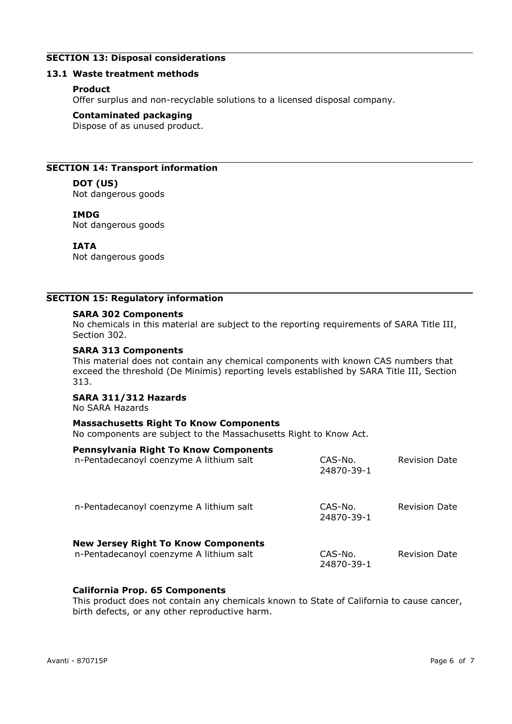# **SECTION 13: Disposal considerations**

# **13.1 Waste treatment methods**

# **Product**

Offer surplus and non-recyclable solutions to a licensed disposal company.

#### **Contaminated packaging**

Dispose of as unused product.

# **SECTION 14: Transport information**

# **DOT (US)**

Not dangerous goods

# **IMDG**

Not dangerous goods

# **IATA**

Not dangerous goods

# **SECTION 15: Regulatory information**

#### **SARA 302 Components**

No chemicals in this material are subject to the reporting requirements of SARA Title III, Section 302.

#### **SARA 313 Components**

This material does not contain any chemical components with known CAS numbers that exceed the threshold (De Minimis) reporting levels established by SARA Title III, Section 313.

#### **SARA 311/312 Hazards**

No SARA Hazards

#### **Massachusetts Right To Know Components**

No components are subject to the Massachusetts Right to Know Act.

| <b>Pennsylvania Right To Know Components</b><br>n-Pentadecanoyl coenzyme A lithium salt | CAS-No.<br>24870-39-1 | <b>Revision Date</b> |
|-----------------------------------------------------------------------------------------|-----------------------|----------------------|
| n-Pentadecanoyl coenzyme A lithium salt                                                 | CAS-No.<br>24870-39-1 | <b>Revision Date</b> |
| <b>New Jersey Right To Know Components</b><br>n-Pentadecanoyl coenzyme A lithium salt   | CAS-No.<br>24870-39-1 | Revision Date        |

# **California Prop. 65 Components**

This product does not contain any chemicals known to State of California to cause cancer, birth defects, or any other reproductive harm.